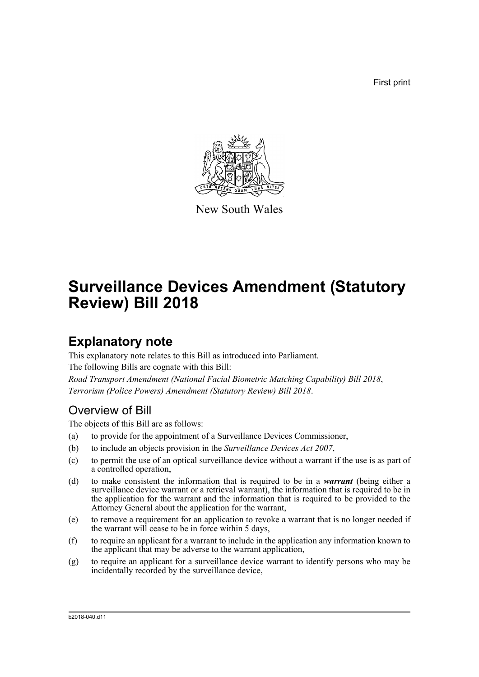First print



New South Wales

# **Surveillance Devices Amendment (Statutory Review) Bill 2018**

### **Explanatory note**

This explanatory note relates to this Bill as introduced into Parliament. The following Bills are cognate with this Bill: *Road Transport Amendment (National Facial Biometric Matching Capability) Bill 2018*, *Terrorism (Police Powers) Amendment (Statutory Review) Bill 2018*.

### Overview of Bill

The objects of this Bill are as follows:

- (a) to provide for the appointment of a Surveillance Devices Commissioner,
- (b) to include an objects provision in the *Surveillance Devices Act 2007*,
- (c) to permit the use of an optical surveillance device without a warrant if the use is as part of a controlled operation,
- (d) to make consistent the information that is required to be in a *warrant* (being either a surveillance device warrant or a retrieval warrant), the information that is required to be in the application for the warrant and the information that is required to be provided to the Attorney General about the application for the warrant,
- (e) to remove a requirement for an application to revoke a warrant that is no longer needed if the warrant will cease to be in force within 5 days,
- (f) to require an applicant for a warrant to include in the application any information known to the applicant that may be adverse to the warrant application,
- (g) to require an applicant for a surveillance device warrant to identify persons who may be incidentally recorded by the surveillance device,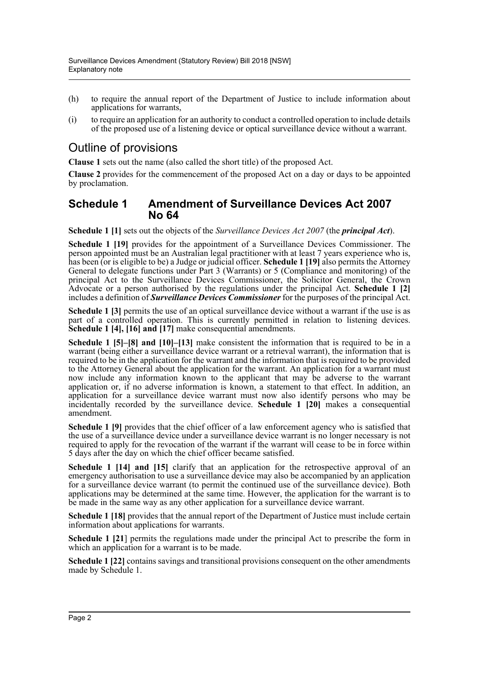- (h) to require the annual report of the Department of Justice to include information about applications for warrants,
- (i) to require an application for an authority to conduct a controlled operation to include details of the proposed use of a listening device or optical surveillance device without a warrant.

### Outline of provisions

**Clause 1** sets out the name (also called the short title) of the proposed Act.

**Clause 2** provides for the commencement of the proposed Act on a day or days to be appointed by proclamation.

#### **Schedule 1 Amendment of Surveillance Devices Act 2007 No 64**

**Schedule 1 [1]** sets out the objects of the *Surveillance Devices Act 2007* (the *principal Act*).

**Schedule 1 [19]** provides for the appointment of a Surveillance Devices Commissioner. The person appointed must be an Australian legal practitioner with at least 7 years experience who is, has been (or is eligible to be) a Judge or judicial officer. **Schedule 1 [19]** also permits the Attorney General to delegate functions under Part 3 (Warrants) or 5 (Compliance and monitoring) of the principal Act to the Surveillance Devices Commissioner, the Solicitor General, the Crown Advocate or a person authorised by the regulations under the principal Act. **Schedule 1 [2]** includes a definition of *Surveillance Devices Commissioner* for the purposes of the principal Act.

**Schedule 1 [3]** permits the use of an optical surveillance device without a warrant if the use is as part of a controlled operation. This is currently permitted in relation to listening devices. **Schedule 1 [4], [16] and [17]** make consequential amendments.

**Schedule 1 [5]–[8] and [10]–[13]** make consistent the information that is required to be in a warrant (being either a surveillance device warrant or a retrieval warrant), the information that is required to be in the application for the warrant and the information that is required to be provided to the Attorney General about the application for the warrant. An application for a warrant must now include any information known to the applicant that may be adverse to the warrant application or, if no adverse information is known, a statement to that effect. In addition, an application for a surveillance device warrant must now also identify persons who may be incidentally recorded by the surveillance device. **Schedule 1 [20]** makes a consequential amendment.

Schedule 1 [9] provides that the chief officer of a law enforcement agency who is satisfied that the use of a surveillance device under a surveillance device warrant is no longer necessary is not required to apply for the revocation of the warrant if the warrant will cease to be in force within 5 days after the day on which the chief officer became satisfied.

**Schedule 1 [14] and [15]** clarify that an application for the retrospective approval of an emergency authorisation to use a surveillance device may also be accompanied by an application for a surveillance device warrant (to permit the continued use of the surveillance device). Both applications may be determined at the same time. However, the application for the warrant is to be made in the same way as any other application for a surveillance device warrant.

**Schedule 1 [18]** provides that the annual report of the Department of Justice must include certain information about applications for warrants.

**Schedule 1 [21**] permits the regulations made under the principal Act to prescribe the form in which an application for a warrant is to be made.

**Schedule 1 [22]** contains savings and transitional provisions consequent on the other amendments made by Schedule 1.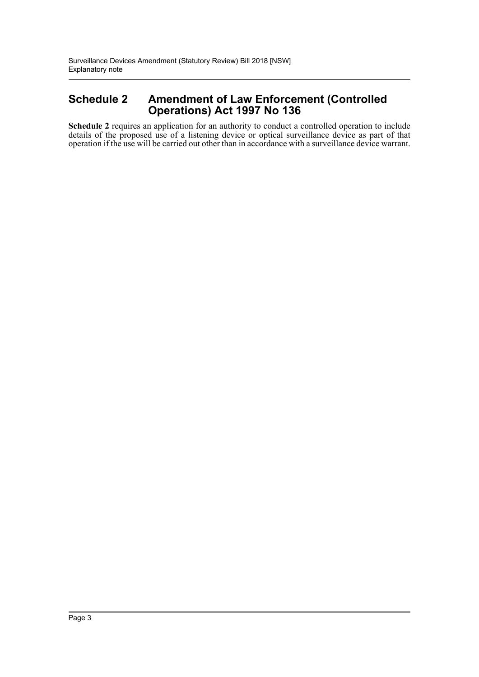### **Schedule 2 Amendment of Law Enforcement (Controlled Operations) Act 1997 No 136**

**Schedule 2** requires an application for an authority to conduct a controlled operation to include details of the proposed use of a listening device or optical surveillance device as part of that operation if the use will be carried out other than in accordance with a surveillance device warrant.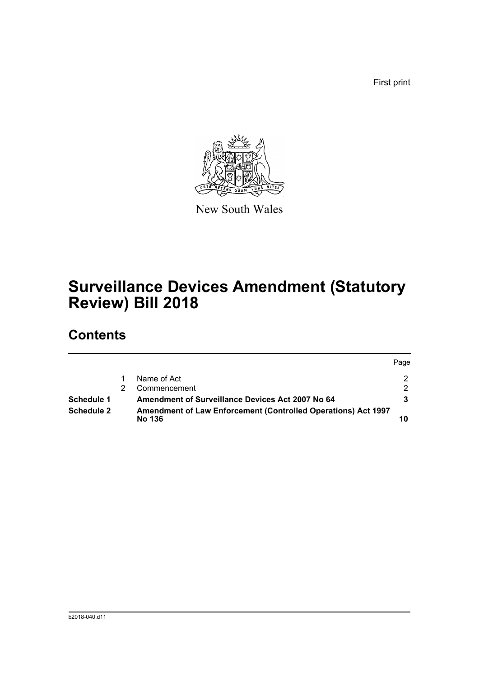First print



New South Wales

## **Surveillance Devices Amendment (Statutory Review) Bill 2018**

## **Contents**

|                   |                                                                                       | Page          |
|-------------------|---------------------------------------------------------------------------------------|---------------|
|                   | Name of Act                                                                           | $\mathcal{P}$ |
|                   | Commencement                                                                          | $\mathcal{D}$ |
| Schedule 1        | <b>Amendment of Surveillance Devices Act 2007 No 64</b>                               |               |
| <b>Schedule 2</b> | <b>Amendment of Law Enforcement (Controlled Operations) Act 1997</b><br><b>No 136</b> |               |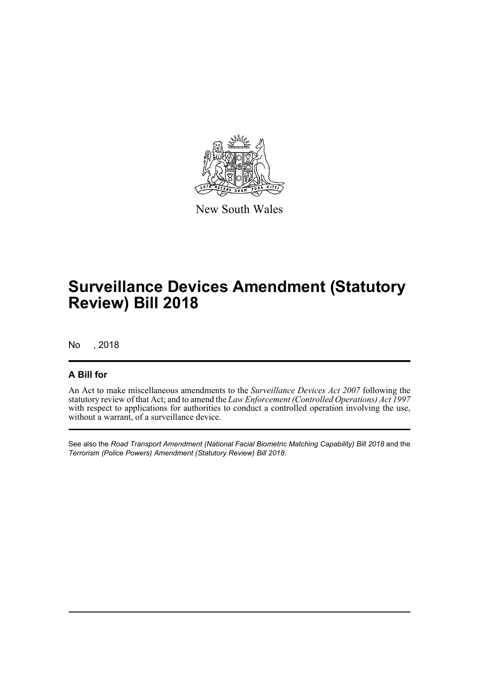

New South Wales

## **Surveillance Devices Amendment (Statutory Review) Bill 2018**

No , 2018

#### **A Bill for**

An Act to make miscellaneous amendments to the *Surveillance Devices Act 2007* following the statutory review of that Act; and to amend the *Law Enforcement (Controlled Operations) Act 1997* with respect to applications for authorities to conduct a controlled operation involving the use, without a warrant, of a surveillance device.

See also the *Road Transport Amendment (National Facial Biometric Matching Capability) Bill 2018* and the *Terrorism (Police Powers) Amendment (Statutory Review) Bill 2018*.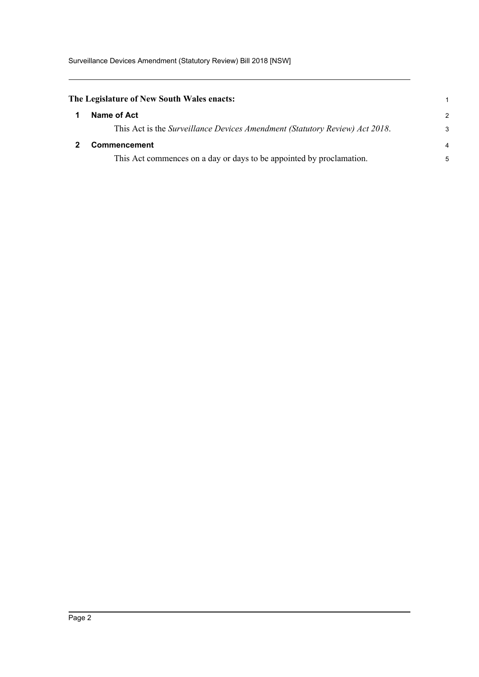<span id="page-5-1"></span><span id="page-5-0"></span>

| The Legislature of New South Wales enacts: |                                                                             |   |  |  |
|--------------------------------------------|-----------------------------------------------------------------------------|---|--|--|
|                                            | Name of Act                                                                 | 2 |  |  |
|                                            | This Act is the Surveillance Devices Amendment (Statutory Review) Act 2018. | З |  |  |
|                                            | Commencement                                                                |   |  |  |
|                                            | This Act commences on a day or days to be appointed by proclamation.        |   |  |  |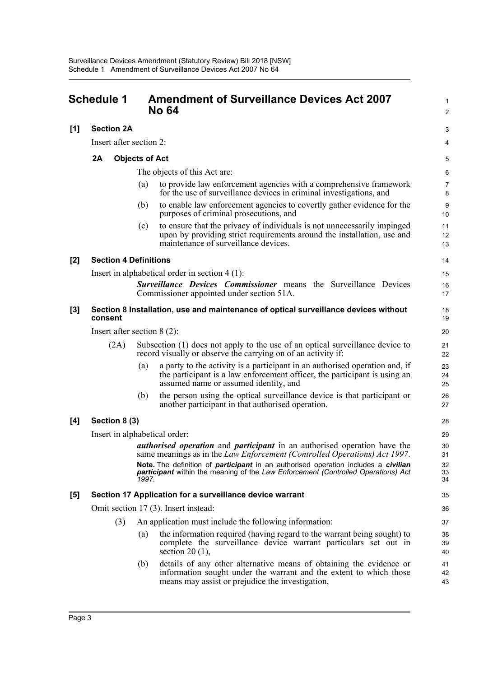<span id="page-6-0"></span>

|       | <b>Schedule 1</b>                                                                              |                       | <b>Amendment of Surveillance Devices Act 2007</b><br><b>No 64</b>                                                                                                                                 | 1<br>$\overline{2}$ |  |  |
|-------|------------------------------------------------------------------------------------------------|-----------------------|---------------------------------------------------------------------------------------------------------------------------------------------------------------------------------------------------|---------------------|--|--|
| [1]   | <b>Section 2A</b>                                                                              |                       |                                                                                                                                                                                                   | 3                   |  |  |
|       | Insert after section 2:                                                                        |                       |                                                                                                                                                                                                   | 4                   |  |  |
|       | 2A                                                                                             | <b>Objects of Act</b> |                                                                                                                                                                                                   | 5                   |  |  |
|       |                                                                                                |                       | The objects of this Act are:                                                                                                                                                                      | 6                   |  |  |
|       |                                                                                                | (a)                   | to provide law enforcement agencies with a comprehensive framework<br>for the use of surveillance devices in criminal investigations, and                                                         | $\overline{7}$<br>8 |  |  |
|       |                                                                                                | (b)                   | to enable law enforcement agencies to covertly gather evidence for the<br>purposes of criminal prosecutions, and                                                                                  | 9<br>10             |  |  |
|       |                                                                                                | (c)                   | to ensure that the privacy of individuals is not unnecessarily impinged<br>upon by providing strict requirements around the installation, use and<br>maintenance of surveillance devices.         | 11<br>12<br>13      |  |  |
| $[2]$ | <b>Section 4 Definitions</b>                                                                   |                       |                                                                                                                                                                                                   | 14                  |  |  |
|       |                                                                                                |                       | Insert in alphabetical order in section $4(1)$ :                                                                                                                                                  | 15                  |  |  |
|       |                                                                                                |                       | <b>Surveillance Devices Commissioner</b> means the Surveillance Devices<br>Commissioner appointed under section 51A.                                                                              | 16<br>17            |  |  |
| [3]   | Section 8 Installation, use and maintenance of optical surveillance devices without<br>consent |                       |                                                                                                                                                                                                   |                     |  |  |
|       | Insert after section $8(2)$ :                                                                  |                       |                                                                                                                                                                                                   | 20                  |  |  |
|       | (2A)                                                                                           |                       | Subsection (1) does not apply to the use of an optical surveillance device to<br>record visually or observe the carrying on of an activity if:                                                    | 21<br>22            |  |  |
|       |                                                                                                | (a)                   | a party to the activity is a participant in an authorised operation and, if<br>the participant is a law enforcement officer, the participant is using an<br>assumed name or assumed identity, and | 23<br>24<br>25      |  |  |
|       |                                                                                                | (b)                   | the person using the optical surveillance device is that participant or<br>another participant in that authorised operation.                                                                      | 26<br>27            |  |  |
| [4]   | Section 8 (3)                                                                                  |                       |                                                                                                                                                                                                   | 28                  |  |  |
|       | Insert in alphabetical order:                                                                  |                       |                                                                                                                                                                                                   | 29                  |  |  |
|       |                                                                                                |                       | <i>authorised operation</i> and <i>participant</i> in an authorised operation have the<br>same meanings as in the <i>Law Enforcement (Controlled Operations) Act 1997</i> .                       | 30<br>31            |  |  |
|       |                                                                                                | 1997.                 | Note. The definition of <i>participant</i> in an authorised operation includes a <i>civilian</i><br>participant within the meaning of the Law Enforcement (Controlled Operations) Act             | 32<br>33<br>34      |  |  |
| [5]   |                                                                                                |                       | Section 17 Application for a surveillance device warrant                                                                                                                                          | 35                  |  |  |
|       |                                                                                                |                       | Omit section 17 (3). Insert instead:                                                                                                                                                              | 36                  |  |  |
|       | (3)                                                                                            |                       | An application must include the following information:                                                                                                                                            | 37                  |  |  |
|       |                                                                                                | (a)                   | the information required (having regard to the warrant being sought) to<br>complete the surveillance device warrant particulars set out in<br>section 20 $(1)$ ,                                  | 38<br>39<br>40      |  |  |
|       |                                                                                                | (b)                   | details of any other alternative means of obtaining the evidence or<br>information sought under the warrant and the extent to which those<br>means may assist or prejudice the investigation,     | 41<br>42<br>43      |  |  |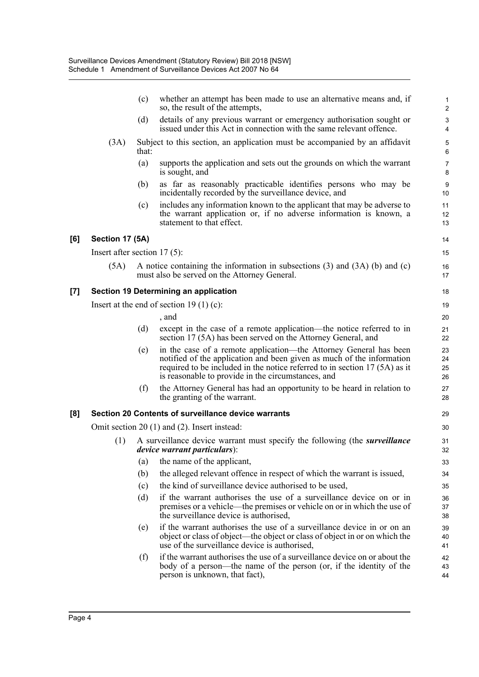|                   |                                                  | (c)                                                 | whether an attempt has been made to use an alternative means and, if<br>so, the result of the attempts,                                                                                                                                                                         | 2                    |  |  |  |  |
|-------------------|--------------------------------------------------|-----------------------------------------------------|---------------------------------------------------------------------------------------------------------------------------------------------------------------------------------------------------------------------------------------------------------------------------------|----------------------|--|--|--|--|
|                   |                                                  | (d)                                                 | details of any previous warrant or emergency authorisation sought or<br>issued under this Act in connection with the same relevant offence.                                                                                                                                     | G<br>4               |  |  |  |  |
|                   | (3A)                                             | that:                                               | Subject to this section, an application must be accompanied by an affidavit                                                                                                                                                                                                     | Ę<br>$\epsilon$      |  |  |  |  |
|                   |                                                  | (a)                                                 | supports the application and sets out the grounds on which the warrant<br>is sought, and                                                                                                                                                                                        | 7<br>ε               |  |  |  |  |
|                   |                                                  | (b)                                                 | as far as reasonably practicable identifies persons who may be<br>incidentally recorded by the surveillance device, and                                                                                                                                                         | ς<br>10              |  |  |  |  |
|                   |                                                  | (c)                                                 | includes any information known to the applicant that may be adverse to<br>the warrant application or, if no adverse information is known, a<br>statement to that effect.                                                                                                        | 11<br>12<br>13       |  |  |  |  |
| [6]               | Section 17 (5A)                                  |                                                     |                                                                                                                                                                                                                                                                                 | 14                   |  |  |  |  |
|                   | Insert after section $17(5)$ :                   |                                                     |                                                                                                                                                                                                                                                                                 | 15                   |  |  |  |  |
|                   | (5A)                                             |                                                     | A notice containing the information in subsections $(3)$ and $(3A)$ $(b)$ and $(c)$<br>must also be served on the Attorney General.                                                                                                                                             | 16<br>17             |  |  |  |  |
| $\left[ 7\right]$ |                                                  | Section 19 Determining an application               |                                                                                                                                                                                                                                                                                 |                      |  |  |  |  |
|                   |                                                  |                                                     | Insert at the end of section 19 (1) (c):                                                                                                                                                                                                                                        | 19                   |  |  |  |  |
|                   |                                                  |                                                     | , and                                                                                                                                                                                                                                                                           | 20                   |  |  |  |  |
|                   |                                                  | (d)                                                 | except in the case of a remote application—the notice referred to in<br>section 17 (5A) has been served on the Attorney General, and                                                                                                                                            | 21<br>22             |  |  |  |  |
|                   |                                                  | (e)                                                 | in the case of a remote application-the Attorney General has been<br>notified of the application and been given as much of the information<br>required to be included in the notice referred to in section $17(5A)$ as it<br>is reasonable to provide in the circumstances, and | 23<br>24<br>25<br>26 |  |  |  |  |
|                   |                                                  | (f)                                                 | the Attorney General has had an opportunity to be heard in relation to<br>the granting of the warrant.                                                                                                                                                                          | 27<br>28             |  |  |  |  |
| [8]               |                                                  | Section 20 Contents of surveillance device warrants |                                                                                                                                                                                                                                                                                 |                      |  |  |  |  |
|                   | Omit section $20(1)$ and $(2)$ . Insert instead: |                                                     |                                                                                                                                                                                                                                                                                 |                      |  |  |  |  |
|                   | (1)                                              |                                                     | A surveillance device warrant must specify the following (the <i>surveillance</i><br><i>device warrant particulars</i> ):                                                                                                                                                       | 31<br>32             |  |  |  |  |
|                   |                                                  | $\left( a\right)$                                   | the name of the applicant,                                                                                                                                                                                                                                                      | 33                   |  |  |  |  |
|                   |                                                  | (b)                                                 | the alleged relevant offence in respect of which the warrant is issued,                                                                                                                                                                                                         | 34                   |  |  |  |  |
|                   |                                                  | (c)                                                 | the kind of surveillance device authorised to be used,                                                                                                                                                                                                                          | 35                   |  |  |  |  |
|                   |                                                  | (d)                                                 | if the warrant authorises the use of a surveillance device on or in<br>premises or a vehicle—the premises or vehicle on or in which the use of<br>the surveillance device is authorised,                                                                                        | 36<br>37<br>38       |  |  |  |  |
|                   |                                                  | (e)                                                 | if the warrant authorises the use of a surveillance device in or on an<br>object or class of object—the object or class of object in or on which the<br>use of the surveillance device is authorised,                                                                           | 39<br>40<br>41       |  |  |  |  |
|                   |                                                  | (f)                                                 | if the warrant authorises the use of a surveillance device on or about the<br>body of a person—the name of the person (or, if the identity of the<br>person is unknown, that fact),                                                                                             | 42<br>43<br>44       |  |  |  |  |
|                   |                                                  |                                                     |                                                                                                                                                                                                                                                                                 |                      |  |  |  |  |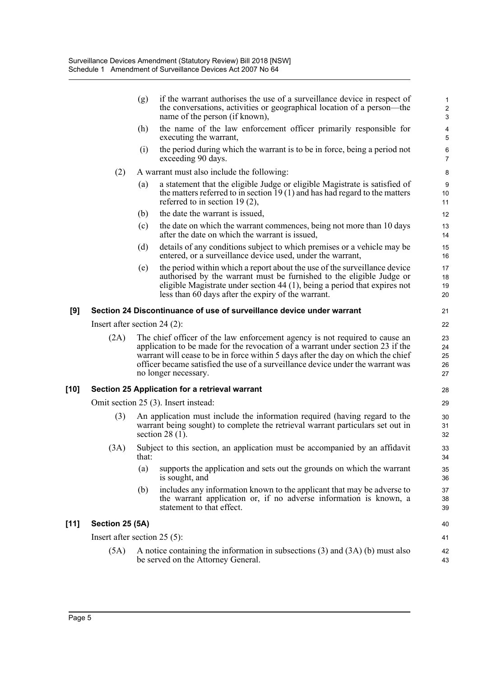|        |                                      | if the warrant authorises the use of a surveillance device in respect of<br>(g)<br>the conversations, activities or geographical location of a person—the<br>name of the person (if known),                                                                                                                                                                  | 1<br>2<br>З                      |  |  |  |
|--------|--------------------------------------|--------------------------------------------------------------------------------------------------------------------------------------------------------------------------------------------------------------------------------------------------------------------------------------------------------------------------------------------------------------|----------------------------------|--|--|--|
|        |                                      | the name of the law enforcement officer primarily responsible for<br>(h)<br>executing the warrant,                                                                                                                                                                                                                                                           | 4<br>5                           |  |  |  |
|        |                                      | the period during which the warrant is to be in force, being a period not<br>(i)<br>exceeding 90 days.                                                                                                                                                                                                                                                       | $\epsilon$<br>$\overline{7}$     |  |  |  |
|        | (2)                                  | A warrant must also include the following:                                                                                                                                                                                                                                                                                                                   | ε                                |  |  |  |
|        |                                      | a statement that the eligible Judge or eligible Magistrate is satisfied of<br>(a)<br>the matters referred to in section $19(1)$ and has had regard to the matters<br>referred to in section 19 $(2)$ ,                                                                                                                                                       | ς<br>10<br>11                    |  |  |  |
|        |                                      | the date the warrant is issued,<br>(b)                                                                                                                                                                                                                                                                                                                       | 12                               |  |  |  |
|        |                                      | the date on which the warrant commences, being not more than 10 days<br>(c)<br>after the date on which the warrant is issued,                                                                                                                                                                                                                                | 13<br>14                         |  |  |  |
|        |                                      | details of any conditions subject to which premises or a vehicle may be<br>(d)<br>entered, or a surveillance device used, under the warrant,                                                                                                                                                                                                                 | 15<br>16                         |  |  |  |
|        |                                      | the period within which a report about the use of the surveillance device<br>(e)<br>authorised by the warrant must be furnished to the eligible Judge or<br>eligible Magistrate under section 44 (1), being a period that expires not<br>less than 60 days after the expiry of the warrant.                                                                  | 17<br>18<br>1 <sup>c</sup><br>20 |  |  |  |
| [9]    |                                      | Section 24 Discontinuance of use of surveillance device under warrant                                                                                                                                                                                                                                                                                        | 21                               |  |  |  |
|        |                                      | Insert after section 24 $(2)$ :                                                                                                                                                                                                                                                                                                                              | 22                               |  |  |  |
|        | (2A)                                 | The chief officer of the law enforcement agency is not required to cause an<br>application to be made for the revocation of a warrant under section 23 if the<br>warrant will cease to be in force within 5 days after the day on which the chief<br>officer became satisfied the use of a surveillance device under the warrant was<br>no longer necessary. | 23<br>24<br>25<br>26<br>27       |  |  |  |
| [10]   |                                      | Section 25 Application for a retrieval warrant                                                                                                                                                                                                                                                                                                               | 28                               |  |  |  |
|        | Omit section 25 (3). Insert instead: |                                                                                                                                                                                                                                                                                                                                                              |                                  |  |  |  |
|        | (3)                                  | An application must include the information required (having regard to the<br>warrant being sought) to complete the retrieval warrant particulars set out in<br>section $28(1)$ .                                                                                                                                                                            | 3 <sub>C</sub><br>31<br>32       |  |  |  |
|        | (3A)                                 | Subject to this section, an application must be accompanied by an affidavit<br>that:                                                                                                                                                                                                                                                                         | 33<br>34                         |  |  |  |
|        |                                      | (a)<br>supports the application and sets out the grounds on which the warrant<br>is sought, and                                                                                                                                                                                                                                                              | 35<br>36                         |  |  |  |
|        |                                      | includes any information known to the applicant that may be adverse to<br>(b)<br>the warrant application or, if no adverse information is known, a<br>statement to that effect.                                                                                                                                                                              | 37<br>38<br>39                   |  |  |  |
| $[11]$ | Section 25 (5A)                      |                                                                                                                                                                                                                                                                                                                                                              |                                  |  |  |  |
|        | Insert after section $25(5)$ :       |                                                                                                                                                                                                                                                                                                                                                              |                                  |  |  |  |
|        | (5A)                                 | A notice containing the information in subsections $(3)$ and $(3A)$ (b) must also<br>be served on the Attorney General.                                                                                                                                                                                                                                      | 42<br>43                         |  |  |  |
|        |                                      |                                                                                                                                                                                                                                                                                                                                                              |                                  |  |  |  |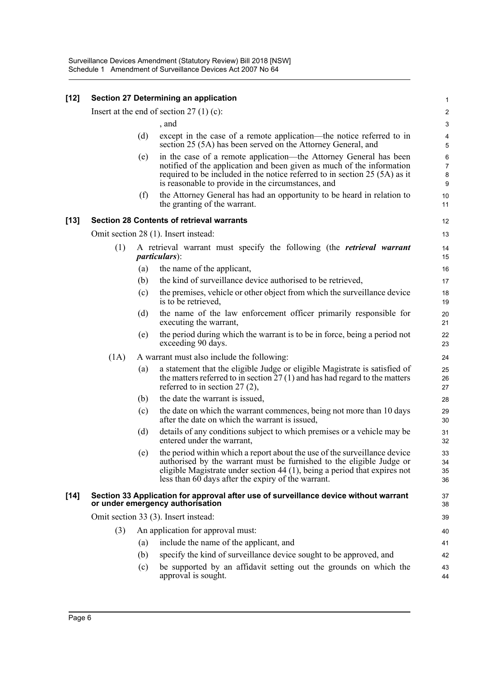| $[12]$ |                                                                                                                          |     | <b>Section 27 Determining an application</b>                                                                                                                                                                                                                                         |                           |  |  |
|--------|--------------------------------------------------------------------------------------------------------------------------|-----|--------------------------------------------------------------------------------------------------------------------------------------------------------------------------------------------------------------------------------------------------------------------------------------|---------------------------|--|--|
|        | Insert at the end of section 27 $(1)$ (c):                                                                               |     |                                                                                                                                                                                                                                                                                      |                           |  |  |
|        |                                                                                                                          |     | , and                                                                                                                                                                                                                                                                                | G                         |  |  |
|        |                                                                                                                          | (d) | except in the case of a remote application—the notice referred to in<br>section 25 (5A) has been served on the Attorney General, and                                                                                                                                                 | 5                         |  |  |
|        |                                                                                                                          | (e) | in the case of a remote application—the Attorney General has been<br>notified of the application and been given as much of the information<br>required to be included in the notice referred to in section 25 (5A) as it<br>is reasonable to provide in the circumstances, and       | $\epsilon$<br>7<br>ε<br>ς |  |  |
|        |                                                                                                                          | (f) | the Attorney General has had an opportunity to be heard in relation to<br>the granting of the warrant.                                                                                                                                                                               | 1 <sub>C</sub><br>11      |  |  |
| $[13]$ |                                                                                                                          |     | <b>Section 28 Contents of retrieval warrants</b>                                                                                                                                                                                                                                     | 12                        |  |  |
|        |                                                                                                                          |     | Omit section 28 (1). Insert instead:                                                                                                                                                                                                                                                 | 13                        |  |  |
|        | (1)                                                                                                                      |     | A retrieval warrant must specify the following (the <i>retrieval warrant</i><br><i>particulars</i> ):                                                                                                                                                                                | 14<br>15                  |  |  |
|        |                                                                                                                          | (a) | the name of the applicant,                                                                                                                                                                                                                                                           | 16                        |  |  |
|        |                                                                                                                          | (b) | the kind of surveillance device authorised to be retrieved,                                                                                                                                                                                                                          | 17                        |  |  |
|        |                                                                                                                          | (c) | the premises, vehicle or other object from which the surveillance device<br>is to be retrieved,                                                                                                                                                                                      | 18<br>1 <sup>c</sup>      |  |  |
|        |                                                                                                                          | (d) | the name of the law enforcement officer primarily responsible for<br>executing the warrant,                                                                                                                                                                                          | 20<br>21                  |  |  |
|        |                                                                                                                          | (e) | the period during which the warrant is to be in force, being a period not<br>exceeding 90 days.                                                                                                                                                                                      | 22<br>23                  |  |  |
|        | (1A)                                                                                                                     |     | A warrant must also include the following:                                                                                                                                                                                                                                           | 24                        |  |  |
|        |                                                                                                                          | (a) | a statement that the eligible Judge or eligible Magistrate is satisfied of<br>the matters referred to in section $27(1)$ and has had regard to the matters<br>referred to in section $27(2)$ ,                                                                                       | 25<br>26<br>27            |  |  |
|        |                                                                                                                          | (b) | the date the warrant is issued,                                                                                                                                                                                                                                                      | 28                        |  |  |
|        |                                                                                                                          | (c) | the date on which the warrant commences, being not more than 10 days<br>after the date on which the warrant is issued,                                                                                                                                                               | 29<br>3 <sub>C</sub>      |  |  |
|        |                                                                                                                          | (d) | details of any conditions subject to which premises or a vehicle may be<br>entered under the warrant,                                                                                                                                                                                | 31<br>32                  |  |  |
|        |                                                                                                                          | (e) | the period within which a report about the use of the surveillance device<br>authorised by the warrant must be furnished to the eligible Judge or<br>eligible Magistrate under section 44 (1), being a period that expires not<br>less than 60 days after the expiry of the warrant. | 33<br>34<br>35<br>36      |  |  |
| $[14]$ | Section 33 Application for approval after use of surveillance device without warrant<br>or under emergency authorisation |     |                                                                                                                                                                                                                                                                                      |                           |  |  |
|        | Omit section 33 (3). Insert instead:                                                                                     |     |                                                                                                                                                                                                                                                                                      |                           |  |  |
|        | (3)                                                                                                                      |     | An application for approval must:                                                                                                                                                                                                                                                    | 40                        |  |  |
|        |                                                                                                                          | (a) | include the name of the applicant, and                                                                                                                                                                                                                                               | 41                        |  |  |
|        |                                                                                                                          | (b) | specify the kind of surveillance device sought to be approved, and                                                                                                                                                                                                                   | 42                        |  |  |
|        |                                                                                                                          | (c) | be supported by an affidavit setting out the grounds on which the<br>approval is sought.                                                                                                                                                                                             | 43<br>44                  |  |  |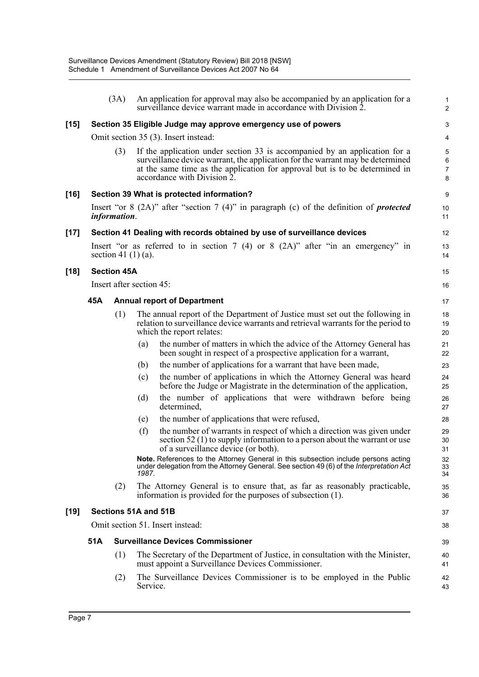|        |                                  | (3A)                                     |          | An application for approval may also be accompanied by an application for a<br>surveillance device warrant made in accordance with Division 2.                                                                                                                             | 2                                 |
|--------|----------------------------------|------------------------------------------|----------|----------------------------------------------------------------------------------------------------------------------------------------------------------------------------------------------------------------------------------------------------------------------------|-----------------------------------|
| $[15]$ |                                  |                                          |          | Section 35 Eligible Judge may approve emergency use of powers                                                                                                                                                                                                              | З                                 |
|        |                                  |                                          |          | Omit section 35 (3). Insert instead:                                                                                                                                                                                                                                       | 4                                 |
|        |                                  | (3)                                      |          | If the application under section 33 is accompanied by an application for a<br>surveillance device warrant, the application for the warrant may be determined<br>at the same time as the application for approval but is to be determined in<br>accordance with Division 2. | $\epsilon$<br>$\overline{7}$<br>ε |
| [16]   |                                  |                                          |          | Section 39 What is protected information?                                                                                                                                                                                                                                  | ξ                                 |
|        |                                  | <i>information.</i>                      |          | Insert "or $8$ (2A)" after "section 7 (4)" in paragraph (c) of the definition of <i>protected</i>                                                                                                                                                                          | 10<br>11                          |
| [17]   |                                  |                                          |          | Section 41 Dealing with records obtained by use of surveillance devices                                                                                                                                                                                                    | 12                                |
|        |                                  | section 41 $(1)$ $(a)$ .                 |          | Insert "or as referred to in section 7 (4) or 8 (2A)" after "in an emergency" in                                                                                                                                                                                           | 13<br>14                          |
| [18]   |                                  | <b>Section 45A</b>                       |          |                                                                                                                                                                                                                                                                            | 15                                |
|        |                                  | Insert after section 45:                 |          |                                                                                                                                                                                                                                                                            | 16                                |
|        | 45A                              |                                          |          | <b>Annual report of Department</b>                                                                                                                                                                                                                                         | 17                                |
|        |                                  | (1)                                      |          | The annual report of the Department of Justice must set out the following in<br>relation to surveillance device warrants and retrieval warrants for the period to<br>which the report relates:                                                                             | 18<br>1 <sup>c</sup><br>20        |
|        |                                  |                                          | (a)      | the number of matters in which the advice of the Attorney General has<br>been sought in respect of a prospective application for a warrant,                                                                                                                                | 21<br>22                          |
|        |                                  |                                          | (b)      | the number of applications for a warrant that have been made,                                                                                                                                                                                                              | 23                                |
|        |                                  |                                          | (c)      | the number of applications in which the Attorney General was heard<br>before the Judge or Magistrate in the determination of the application,                                                                                                                              | 24<br>25                          |
|        |                                  |                                          | (d)      | the number of applications that were withdrawn before being<br>determined,                                                                                                                                                                                                 | 26<br>27                          |
|        |                                  |                                          | (e)      | the number of applications that were refused,                                                                                                                                                                                                                              | 28                                |
|        |                                  |                                          | (f)      | the number of warrants in respect of which a direction was given under<br>section $52(1)$ to supply information to a person about the warrant or use<br>of a surveillance device (or both).                                                                                | 29<br>3 <sub>C</sub><br>31        |
|        |                                  |                                          | 1987.    | Note. References to the Attorney General in this subsection include persons acting<br>under delegation from the Attorney General. See section 49 (6) of the Interpretation Act                                                                                             | 32<br>33<br>34                    |
|        |                                  | (2)                                      |          | The Attorney General is to ensure that, as far as reasonably practicable,<br>information is provided for the purposes of subsection (1).                                                                                                                                   | 35<br>36                          |
| [19]   | Sections 51A and 51B             |                                          |          |                                                                                                                                                                                                                                                                            |                                   |
|        | Omit section 51. Insert instead: |                                          |          |                                                                                                                                                                                                                                                                            |                                   |
|        | 51A                              | <b>Surveillance Devices Commissioner</b> |          |                                                                                                                                                                                                                                                                            |                                   |
|        |                                  | (1)                                      |          | The Secretary of the Department of Justice, in consultation with the Minister,<br>must appoint a Surveillance Devices Commissioner.                                                                                                                                        | 40<br>41                          |
|        |                                  | (2)                                      | Service. | The Surveillance Devices Commissioner is to be employed in the Public                                                                                                                                                                                                      | 42<br>43                          |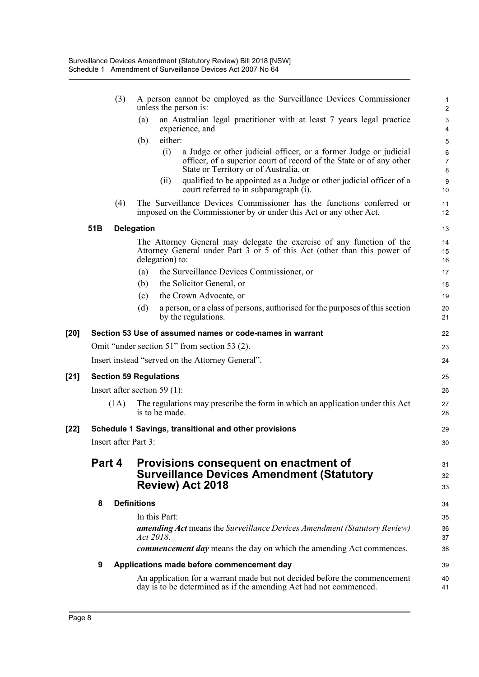|        |                               | (3)  |                    | A person cannot be employed as the Surveillance Devices Commissioner<br>unless the person is:                                                                                            | 2                                 |  |  |
|--------|-------------------------------|------|--------------------|------------------------------------------------------------------------------------------------------------------------------------------------------------------------------------------|-----------------------------------|--|--|
|        |                               |      | (a)                | an Australian legal practitioner with at least 7 years legal practice<br>experience, and                                                                                                 | G<br>4                            |  |  |
|        |                               |      | (b)                | either:                                                                                                                                                                                  | 5                                 |  |  |
|        |                               |      |                    | (i)<br>a Judge or other judicial officer, or a former Judge or judicial<br>officer, of a superior court of record of the State or of any other<br>State or Territory or of Australia, or | $\epsilon$<br>$\overline{1}$<br>ε |  |  |
|        |                               |      |                    | qualified to be appointed as a Judge or other judicial officer of a<br>(ii)<br>court referred to in subparagraph (i).                                                                    | ς<br>10                           |  |  |
|        |                               | (4)  |                    | The Surveillance Devices Commissioner has the functions conferred or<br>imposed on the Commissioner by or under this Act or any other Act.                                               | 11<br>12                          |  |  |
|        | 51 <sub>B</sub>               |      | <b>Delegation</b>  |                                                                                                                                                                                          | 13                                |  |  |
|        |                               |      |                    | The Attorney General may delegate the exercise of any function of the<br>Attorney General under Part 3 or 5 of this Act (other than this power of<br>delegation) to:                     | 14<br>15<br>16                    |  |  |
|        |                               |      | (a)                | the Surveillance Devices Commissioner, or                                                                                                                                                | 17                                |  |  |
|        |                               |      | (b)                | the Solicitor General, or                                                                                                                                                                | 18                                |  |  |
|        |                               |      | (c)                | the Crown Advocate, or                                                                                                                                                                   | 19                                |  |  |
|        |                               |      | (d)                | a person, or a class of persons, authorised for the purposes of this section<br>by the regulations.                                                                                      | 20<br>21                          |  |  |
| [20]   |                               |      |                    | Section 53 Use of assumed names or code-names in warrant                                                                                                                                 | 22                                |  |  |
|        |                               |      |                    | Omit "under section 51" from section 53 (2).                                                                                                                                             | 23                                |  |  |
|        |                               |      |                    | Insert instead "served on the Attorney General".                                                                                                                                         | 24                                |  |  |
| $[21]$ | <b>Section 59 Regulations</b> |      |                    |                                                                                                                                                                                          |                                   |  |  |
|        |                               |      |                    | Insert after section 59 $(1)$ :                                                                                                                                                          | 26                                |  |  |
|        |                               | (1A) |                    | The regulations may prescribe the form in which an application under this Act<br>is to be made.                                                                                          | 27<br>28                          |  |  |
| [22]   |                               |      |                    | Schedule 1 Savings, transitional and other provisions                                                                                                                                    | 29                                |  |  |
|        | <b>Insert after Part 3:</b>   |      |                    |                                                                                                                                                                                          |                                   |  |  |
|        | Part 4                        |      |                    | Provisions consequent on enactment of<br><b>Surveillance Devices Amendment (Statutory</b><br>Review) Act 2018                                                                            | 31<br>32<br>33                    |  |  |
|        | 8                             |      | <b>Definitions</b> |                                                                                                                                                                                          | 34                                |  |  |
|        |                               |      |                    | In this Part:                                                                                                                                                                            | 35                                |  |  |
|        |                               |      |                    | <b>amending Act</b> means the Surveillance Devices Amendment (Statutory Review)<br>Act 2018.                                                                                             | 36<br>37                          |  |  |
|        |                               |      |                    | commencement day means the day on which the amending Act commences.                                                                                                                      | 38                                |  |  |
|        | 9                             |      |                    | Applications made before commencement day                                                                                                                                                | 39                                |  |  |
|        |                               |      |                    | An application for a warrant made but not decided before the commencement<br>day is to be determined as if the amending Act had not commenced.                                           | 40<br>41                          |  |  |
|        |                               |      |                    |                                                                                                                                                                                          |                                   |  |  |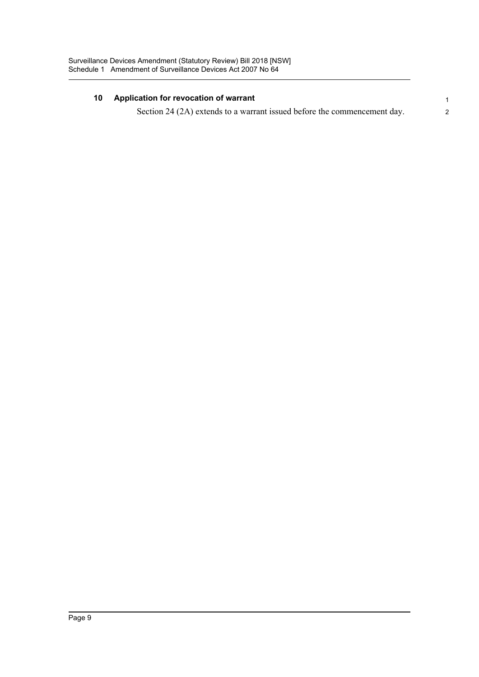#### **10 Application for revocation of warrant** 1

Section 24 (2A) extends to a warrant issued before the commencement day.